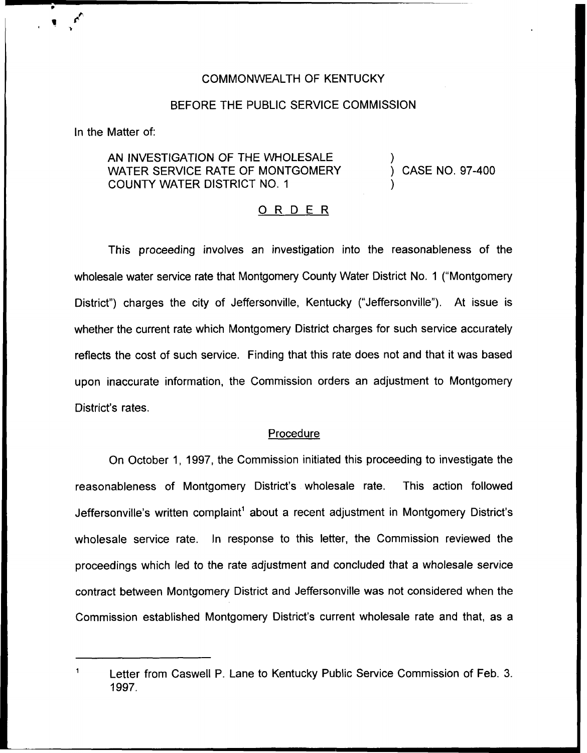# COMMONWEALTH OF KENTUCKY

# BEFORE THE PUBLIC SERVICE COMMISSION

In the Matter of:

# AN INVESTIGATION OF THE WHOLESALE WATER SERVICE RATE OF MONTGOMERY COUNTY WATER DISTRICT NO. 1

) CASE NO. 97-400

)

)

# 0 <sup>R</sup> <sup>D</sup> <sup>E</sup> <sup>R</sup>

This proceeding involves an investigation into the reasonableness of the wholesale water service rate that Montgomery County Water District No. <sup>1</sup> ("Montgomery District") charges the city of Jeffersonville, Kentucky ("Jeffersonville"). At issue is whether the current rate which Montgomery District charges for such service accurately reflects the cost of such service. Finding that this rate does not and that it was based upon inaccurate information, the Commission orders an adjustment to Montgomery District's rates.

#### Procedure

On October 1, 1997, the Commission initiated this proceeding to investigate the reasonableness of Montgomery District's wholesale rate. This action followed Jeffersonville's written complaint" about a recent adjustment in Montgomery District's wholesale service rate. In response to this letter, the Commission reviewed the proceedings which led to the rate adjustment and concluded that a wholesale service contract between Montgomery District and Jeffersonville was not considered when the Commission established Montgomery District's current wholesale rate and that, as a

Letter from Caswell P. Lane to Kentucky Public Service Commission of Feb. 3. 1997.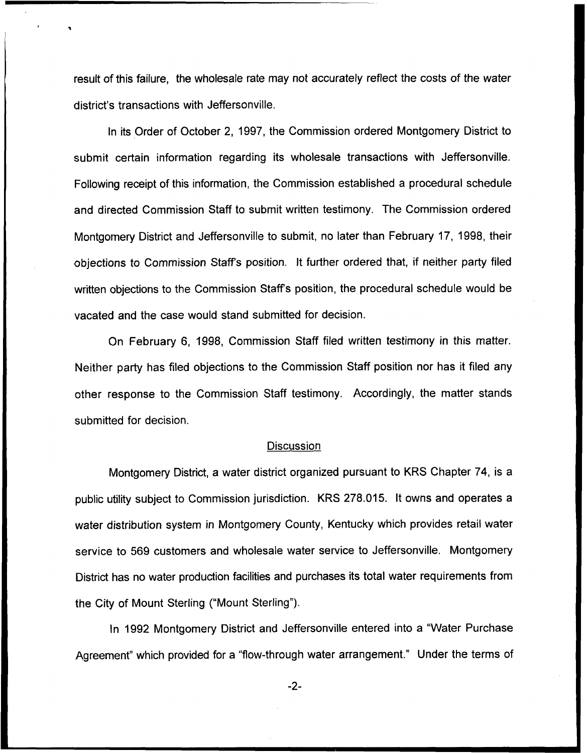result of this failure, the wholesale rate may not accurately reflect the costs of the water district's transactions with Jeffersonville.

In its Order of October 2, 1997, the Commission ordered Montgomery District to submit certain information regarding its wholesale transactions with Jeffersonville. Following receipt of this information, the Commission established a procedural schedule and directed Commission Staff to submit written testimony. The Commission ordered Montgomery District and Jeffersonville to submit, no later than February 17, 1998, their objections to Commission Staffs position. It further ordered that, if neither party filed written objections to the Commission Staffs position, the procedural schedule would be vacated and the case would stand submitted for decision.

On February 6, 1998, Commission Staff filed written testimony in this matter. Neither party has filed objections to the Commission Staff position nor has it filed any other response to the Commission Staff testimony. Accordingly, the matter stands submitted for decision.

#### **Discussion**

Montgomery District, a water district organized pursuant to KRS Chapter 74, is a public utility subject to Commission jurisdiction. KRS 278.015. It owns and operates a water distribution system in Montgomery County, Kentucky which provides retail water service to 569 customers and wholesale water service to Jeffersonville. Montgomery District has no water production facilities and purchases its total water requirements from the City of Mount Sterling ("Mount Sterling").

ln 1992 Montgomery District and Jeffersonville entered into a "Water Purchase Agreement" which provided for a "flow-through water arrangement." Under the terms of

-2-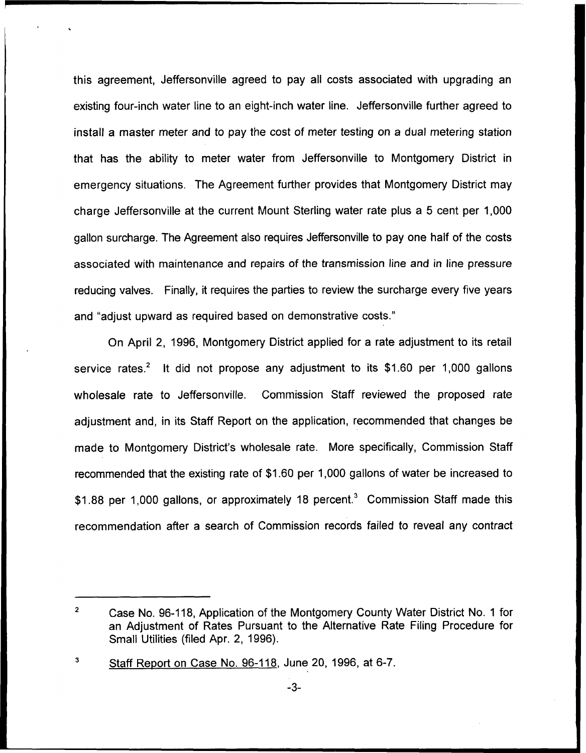this agreement, Jeffersonville agreed to pay all costs associated with upgrading an existing four-inch water line to an eight-inch water line. Jeffersonville further agreed to install a master meter and to pay the cost of meter testing on a dual metering station that has the ability to meter water from Jeffersonville to Montgomery District in emergency situations. The Agreement further provides that Montgomery District may charge Jeffersonville at the current Mount Sterling water rate plus a 5 cent per 1,000 gallon surcharge. The Agreement also requires Jeffersonville to pay one half of the costs associated with maintenance and repairs of the transmission line and in line pressure reducing valves. Finally, it requires the parties to review the surcharge every five years and "adjust upward as required based on demonstrative costs."

On April 2, 1996, Montgomery District applied for a rate adjustment to its retail service rates.<sup>2</sup> It did not propose any adjustment to its \$1.60 per 1,000 gallons wholesale rate to Jeffersonville. Commission Staff reviewed the proposed rate adjustment and, in its Staff Report on the application, recommended that changes be made to Montgomery District's wholesale rate. More specifically, Commission Staff recommended that the existing rate of \$1.60 per 1,000 gallons of water be increased to \$1.88 per 1,000 gallons, or approximately 18 percent.<sup>3</sup> Commission Staff made this recommendation after a search of Commission records failed to reveal any contract

 $\overline{2}$ Case No. 96-118, Application of the Montgomery County Water District No. <sup>1</sup> for an Adjustment of Rates Pursuant to the Alternative Rate Filing Procedure for Small Utilities (filed Apr. 2, 1996).

 $\overline{\mathbf{3}}$ Staff Report on Case No. 96-118, June 20, 1996, at 6-7.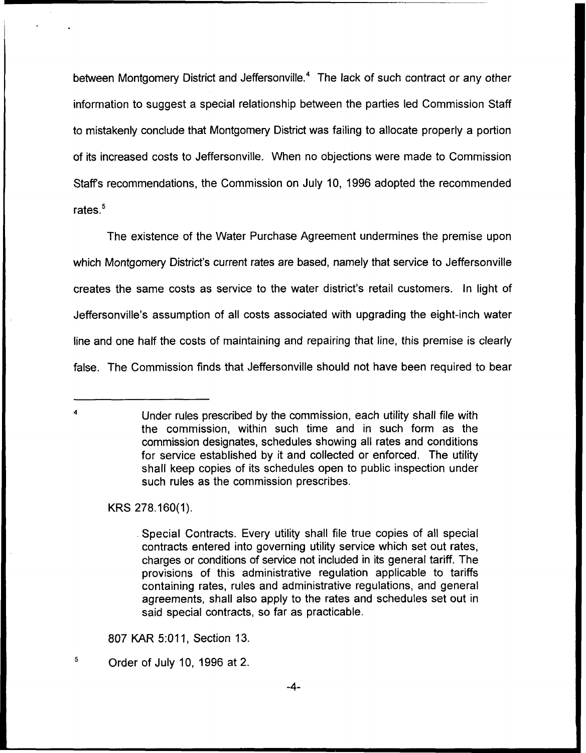between Montgomery District and Jeffersonville.<sup>4</sup> The lack of such contract or any other information to suggest a special relationship between the parties led Commission Staff to mistakenly conclude that Montgomery District was failing to allocate properly a portion of its increased costs to Jeffersonville. When no objections were made to Commission Staff's recommendations, the Commission on July 10, 1996 adopted the recommended rates. $5$ 

The existence of the Water Purchase Agreement undermines the premise upon which Montgomery District's current rates are based, namely that service to Jeffersonville creates the same costs as service to the water district's retail customers. In light of Jeffersonville's assumption of all costs associated with upgrading the eight-inch water line and one half the costs of maintaining and repairing that line, this premise is clearly false. The Commission finds that Jeffersonville should not have been required to bear

KRS 278.160(1).

 $\overline{A}$ 

5

807 KAR 5:011, Section 13.

Under rules prescribed by the commission, each utility shall file with the commission, within such time and in such form as the commission designates, schedules showing all rates and conditions for service established by it and collected or enforced. The utility shall keep copies of its schedules open to public inspection under such rules as the commission prescribes.

<sup>.</sup> Special Contracts. Every utility shall file true copies of all special contracts entered into governing utility service which set out rates, charges or conditions of service not included in its general tariff. The provisions of this administrative regulation applicable to tariffs containing rates, rules and administrative regulations, and general agreements, shall also apply to the rates and schedules set out in said special contracts, so far as practicable.

Order of July 10, 1996 at 2.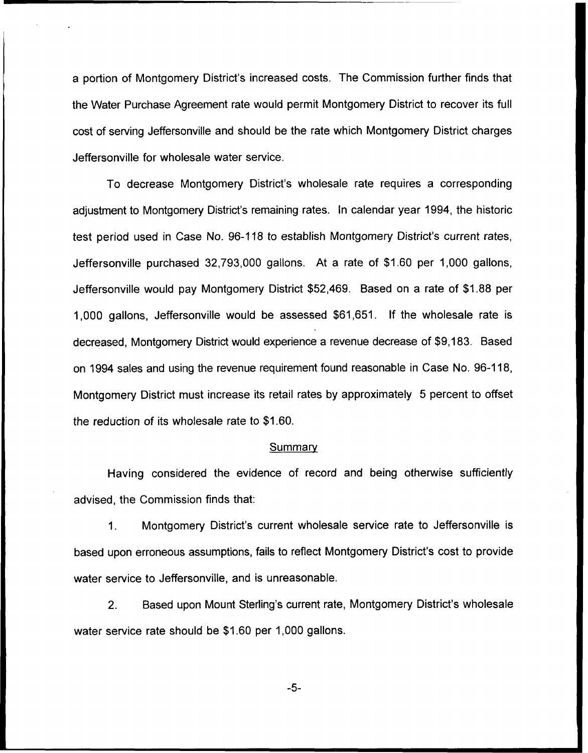a portion of Montgomery District's increased costs. The Commission further finds that the Water Purchase Agreement rate would permit Montgomery District to recover its full cost of serving Jeffersonville and should be the rate which Montgomery District charges Jeffersonville for wholesale water service.

To decrease Montgomery District's wholesale rate requires a corresponding adjustment to Montgomery District's remaining rates. In calendar year 1994, the historic test period used in Case No. 96-118 to establish Montgomery District's current rates, Jeffersonville purchased 32,793,000 gallons. At a rate of \$1.60 per 1,000 gallons, Jeffersonville would pay Montgomery District \$52,469. Based on a rate of \$1.88 per 1,000 gallons, Jeffersonville would be assessed \$61,651. If the wholesale rate is decreased, Montgomery District would experience a revenue decrease of \$9,183. Based on 1994 sales and using the revenue requirement found reasonable in Case No. 96-118, Montgomery District must increase its retail rates by approximately 5 percent to offset the reduction of its wholesale rate to \$1.60.

#### **Summary**

Having considered the evidence of record and being otherwise sufficiently advised, the Commission finds that:

1. Montgomery District's current wholesale service rate to Jeffersonville is based upon erroneous assumptions, fails to reflect Montgomery District's cost to provide water service to Jeffersonville, and is unreasonable.

2. Based upon Mount Sterling's current rate, Montgomery District's wholesale water service rate should be \$1.60 per 1,000 gallons.

 $-5-$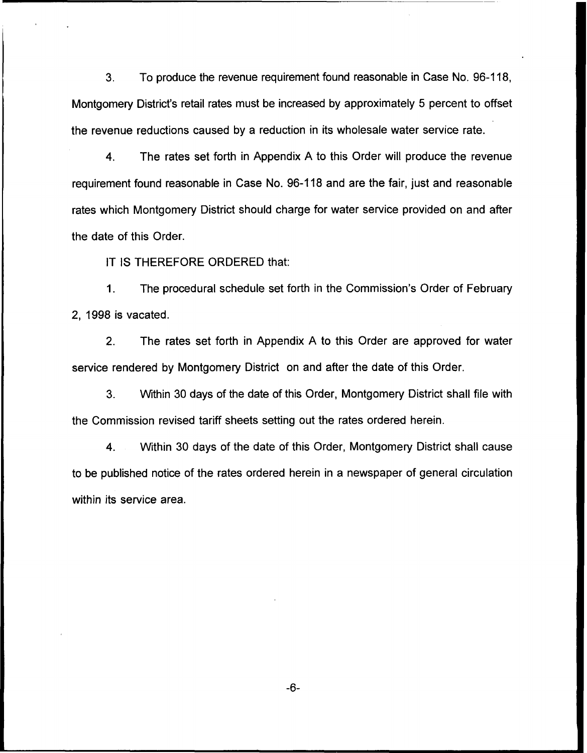3. To produce the revenue requirement found reasonable in Case No. 96-118, Montgomery District's retail rates must be increased by approximately 5 percent to offset the revenue reductions caused by a reduction in its wholesale water service rate.

4. The rates set forth in Appendix A to this Order will produce the revenue requirement found reasonable in Case No. 96-118 and are the fair, just and reasonable rates which Montgomery District should charge for water service provided on and after the date of this Order.

IT IS THEREFORE ORDERED that:

1. The procedural schedule set forth in the Commission's Order of February 2, 1998 is vacated.

2. The rates set forth in Appendix A to this Order are approved for water service rendered by Montgomery District on and after the date of this Order.

3. Within 30 days of the date of this Order, Montgomery District shall file with the Commission revised tariff sheets setting out the rates ordered herein.

4. Within 30 days of the date of this Order, Montgomery District shall cause to be published notice of the rates ordered herein in a newspaper of general circulation within its service area.

 $-6-$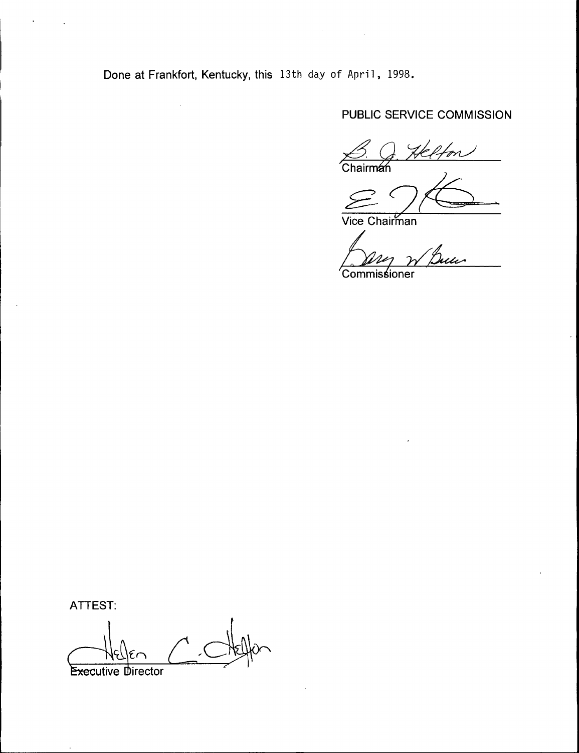Done at Frankfort, Kentucky, this 13th day of April, 1998.

 $\hat{\boldsymbol{\gamma}}$ 

# PUBLIC SERVICE COMMISSION

 $\overline{\text{Chain}}$ 

 $29$ 

Vice Chairma

 $\sim$   $\sim$ 

u 'Commissioner

ATTEST:

**Executive Director**